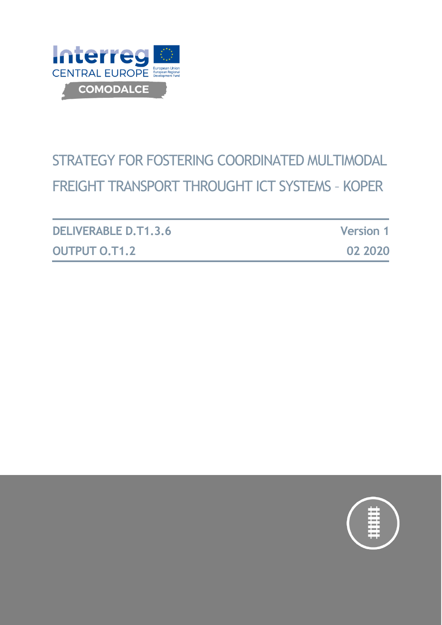

# STRATEGY FOR FOSTERING COORDINATED MULTIMODAL FREIGHT TRANSPORT THROUGHT ICT SYSTEMS – KOPER

| <b>DELIVERABLE D.T1.3.6</b> | <b>Version 1</b> |
|-----------------------------|------------------|
| <b>OUTPUT O.T1.2</b>        | 02 2020          |

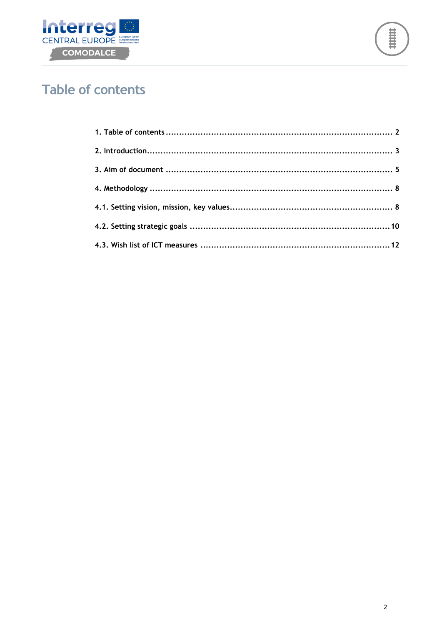



# <span id="page-1-0"></span>**Table of contents**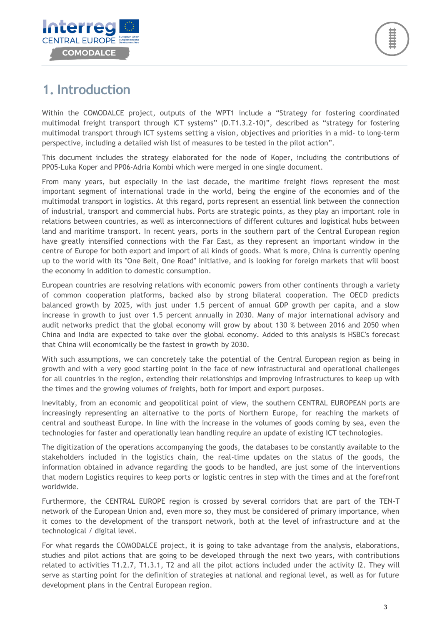

# <span id="page-2-0"></span>**1. Introduction**

Within the COMODALCE project, outputs of the WPT1 include a "Strategy for fostering coordinated multimodal freight transport through ICT systems" (D.T1.3.2-10)", described as "strategy for fostering multimodal transport through ICT systems setting a vision, objectives and priorities in a mid- to long-term perspective, including a detailed wish list of measures to be tested in the pilot action".

This document includes the strategy elaborated for the node of Koper, including the contributions of PP05-Luka Koper and PP06-Adria Kombi which were merged in one single document.

From many years, but especially in the last decade, the maritime freight flows represent the most important segment of international trade in the world, being the engine of the economies and of the multimodal transport in logistics. At this regard, ports represent an essential link between the connection of industrial, transport and commercial hubs. Ports are strategic points, as they play an important role in relations between countries, as well as interconnections of different cultures and logistical hubs between land and maritime transport. In recent years, ports in the southern part of the Central European region have greatly intensified connections with the Far East, as they represent an important window in the centre of Europe for both export and import of all kinds of goods. What is more, China is currently opening up to the world with its "One Belt, One Road" initiative, and is looking for foreign markets that will boost the economy in addition to domestic consumption.

European countries are resolving relations with economic powers from other continents through a variety of common cooperation platforms, backed also by strong bilateral cooperation. The OECD predicts balanced growth by 2025, with just under 1.5 percent of annual GDP growth per capita, and a slow increase in growth to just over 1.5 percent annually in 2030. Many of major international advisory and audit networks predict that the global economy will grow by about 130 % between 2016 and 2050 when China and India are expected to take over the global economy. Added to this analysis is HSBC's forecast that China will economically be the fastest in growth by 2030.

With such assumptions, we can concretely take the potential of the Central European region as being in growth and with a very good starting point in the face of new infrastructural and operational challenges for all countries in the region, extending their relationships and improving infrastructures to keep up with the times and the growing volumes of freights, both for import and export purposes.

Inevitably, from an economic and geopolitical point of view, the southern CENTRAL EUROPEAN ports are increasingly representing an alternative to the ports of Northern Europe, for reaching the markets of central and southeast Europe. In line with the increase in the volumes of goods coming by sea, even the technologies for faster and operationally lean handling require an update of existing ICT technologies.

The digitization of the operations accompanying the goods, the databases to be constantly available to the stakeholders included in the logistics chain, the real-time updates on the status of the goods, the information obtained in advance regarding the goods to be handled, are just some of the interventions that modern Logistics requires to keep ports or logistic centres in step with the times and at the forefront worldwide.

Furthermore, the CENTRAL EUROPE region is crossed by several corridors that are part of the TEN-T network of the European Union and, even more so, they must be considered of primary importance, when it comes to the development of the transport network, both at the level of infrastructure and at the technological / digital level.

For what regards the COMODALCE project, it is going to take advantage from the analysis, elaborations, studies and pilot actions that are going to be developed through the next two years, with contributions related to activities T1.2.7, T1.3.1, T2 and all the pilot actions included under the activity I2. They will serve as starting point for the definition of strategies at national and regional level, as well as for future development plans in the Central European region.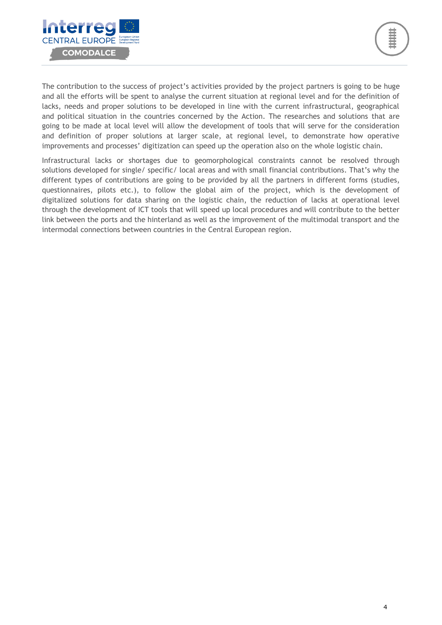

The contribution to the success of project's activities provided by the project partners is going to be huge and all the efforts will be spent to analyse the current situation at regional level and for the definition of lacks, needs and proper solutions to be developed in line with the current infrastructural, geographical and political situation in the countries concerned by the Action. The researches and solutions that are going to be made at local level will allow the development of tools that will serve for the consideration and definition of proper solutions at larger scale, at regional level, to demonstrate how operative improvements and processes' digitization can speed up the operation also on the whole logistic chain.

Infrastructural lacks or shortages due to geomorphological constraints cannot be resolved through solutions developed for single/ specific/ local areas and with small financial contributions. That's why the different types of contributions are going to be provided by all the partners in different forms (studies, questionnaires, pilots etc.), to follow the global aim of the project, which is the development of digitalized solutions for data sharing on the logistic chain, the reduction of lacks at operational level through the development of ICT tools that will speed up local procedures and will contribute to the better link between the ports and the hinterland as well as the improvement of the multimodal transport and the intermodal connections between countries in the Central European region.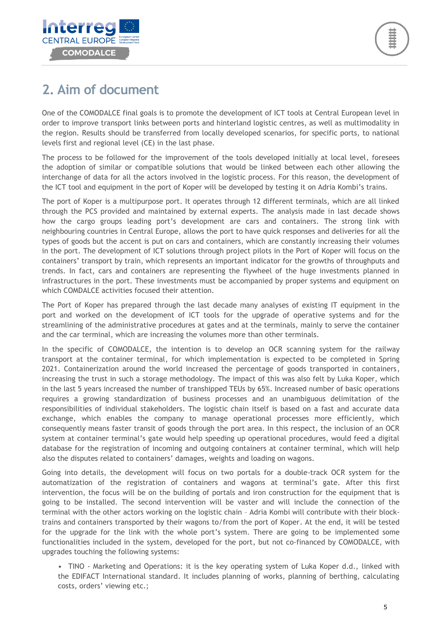

# <span id="page-4-0"></span>**2. Aim of document**

One of the COMODALCE final goals is to promote the development of ICT tools at Central European level in order to improve transport links between ports and hinterland logistic centres, as well as multimodality in the region. Results should be transferred from locally developed scenarios, for specific ports, to national levels first and regional level (CE) in the last phase.

The process to be followed for the improvement of the tools developed initially at local level, foresees the adoption of similar or compatible solutions that would be linked between each other allowing the interchange of data for all the actors involved in the logistic process. For this reason, the development of the ICT tool and equipment in the port of Koper will be developed by testing it on Adria Kombi's trains.

The port of Koper is a multipurpose port. It operates through 12 different terminals, which are all linked through the PCS provided and maintained by external experts. The analysis made in last decade shows how the cargo groups leading port's development are cars and containers. The strong link with neighbouring countries in Central Europe, allows the port to have quick responses and deliveries for all the types of goods but the accent is put on cars and containers, which are constantly increasing their volumes in the port. The development of ICT solutions through project pilots in the Port of Koper will focus on the containers' transport by train, which represents an important indicator for the growths of throughputs and trends. In fact, cars and containers are representing the flywheel of the huge investments planned in infrastructures in the port. These investments must be accompanied by proper systems and equipment on which COMDALCE activities focused their attention.

The Port of Koper has prepared through the last decade many analyses of existing IT equipment in the port and worked on the development of ICT tools for the upgrade of operative systems and for the streamlining of the administrative procedures at gates and at the terminals, mainly to serve the container and the car terminal, which are increasing the volumes more than other terminals.

In the specific of COMODALCE, the intention is to develop an OCR scanning system for the railway transport at the container terminal, for which implementation is expected to be completed in Spring 2021. Containerization around the world increased the percentage of goods transported in containers, increasing the trust in such a storage methodology. The impact of this was also felt by Luka Koper, which in the last 5 years increased the number of transhipped TEUs by 65%. Increased number of basic operations requires a growing standardization of business processes and an unambiguous delimitation of the responsibilities of individual stakeholders. The logistic chain itself is based on a fast and accurate data exchange, which enables the company to manage operational processes more efficiently, which consequently means faster transit of goods through the port area. In this respect, the inclusion of an OCR system at container terminal's gate would help speeding up operational procedures, would feed a digital database for the registration of incoming and outgoing containers at container terminal, which will help also the disputes related to containers' damages, weights and loading on wagons.

Going into details, the development will focus on two portals for a double-track OCR system for the automatization of the registration of containers and wagons at terminal's gate. After this first intervention, the focus will be on the building of portals and iron construction for the equipment that is going to be installed. The second intervention will be vaster and will include the connection of the terminal with the other actors working on the logistic chain – Adria Kombi will contribute with their blocktrains and containers transported by their wagons to/from the port of Koper. At the end, it will be tested for the upgrade for the link with the whole port's system. There are going to be implemented some functionalities included in the system, developed for the port, but not co-financed by COMODALCE, with upgrades touching the following systems:

• TINO - Marketing and Operations: it is the key operating system of Luka Koper d.d., linked with the EDIFACT International standard. It includes planning of works, planning of berthing, calculating costs, orders' viewing etc.;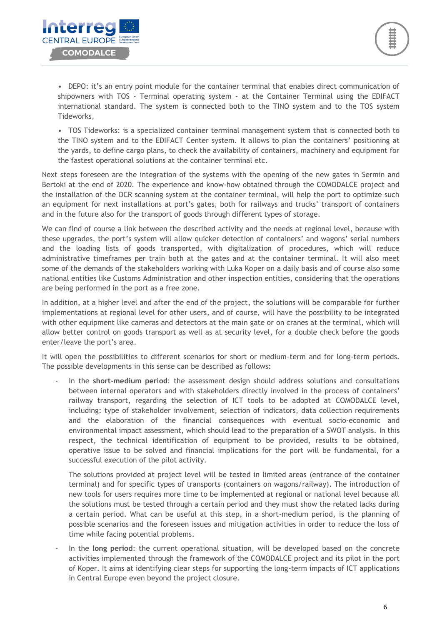• DEPO: it's an entry point module for the container terminal that enables direct communication of shipowners with TOS - Terminal operating system - at the Container Terminal using the EDIFACT international standard. The system is connected both to the TINO system and to the TOS system Tideworks,

• TOS Tideworks: is a specialized container terminal management system that is connected both to the TINO system and to the EDIFACT Center system. It allows to plan the containers' positioning at the yards, to define cargo plans, to check the availability of containers, machinery and equipment for the fastest operational solutions at the container terminal etc.

Next steps foreseen are the integration of the systems with the opening of the new gates in Sermin and Bertoki at the end of 2020. The experience and know-how obtained through the COMODALCE project and the installation of the OCR scanning system at the container terminal, will help the port to optimize such an equipment for next installations at port's gates, both for railways and trucks' transport of containers and in the future also for the transport of goods through different types of storage.

We can find of course a link between the described activity and the needs at regional level, because with these upgrades, the port's system will allow quicker detection of containers' and wagons' serial numbers and the loading lists of goods transported, with digitalization of procedures, which will reduce administrative timeframes per train both at the gates and at the container terminal. It will also meet some of the demands of the stakeholders working with Luka Koper on a daily basis and of course also some national entities like Customs Administration and other inspection entities, considering that the operations are being performed in the port as a free zone.

In addition, at a higher level and after the end of the project, the solutions will be comparable for further implementations at regional level for other users, and of course, will have the possibility to be integrated with other equipment like cameras and detectors at the main gate or on cranes at the terminal, which will allow better control on goods transport as well as at security level, for a double check before the goods enter/leave the port's area.

It will open the possibilities to different scenarios for short or medium-term and for long-term periods. The possible developments in this sense can be described as follows:

- In the **short-medium period**: the assessment design should address solutions and consultations between internal operators and with stakeholders directly involved in the process of containers' railway transport, regarding the selection of ICT tools to be adopted at COMODALCE level, including: type of stakeholder involvement, selection of indicators, data collection requirements and the elaboration of the financial consequences with eventual socio-economic and environmental impact assessment, which should lead to the preparation of a SWOT analysis. In this respect, the technical identification of equipment to be provided, results to be obtained, operative issue to be solved and financial implications for the port will be fundamental, for a successful execution of the pilot activity.

The solutions provided at project level will be tested in limited areas (entrance of the container terminal) and for specific types of transports (containers on wagons/railway). The introduction of new tools for users requires more time to be implemented at regional or national level because all the solutions must be tested through a certain period and they must show the related lacks during a certain period. What can be useful at this step, in a short-medium period, is the planning of possible scenarios and the foreseen issues and mitigation activities in order to reduce the loss of time while facing potential problems.

- In the **long period**: the current operational situation, will be developed based on the concrete activities implemented through the framework of the COMODALCE project and its pilot in the port of Koper. It aims at identifying clear steps for supporting the long-term impacts of ICT applications in Central Europe even beyond the project closure.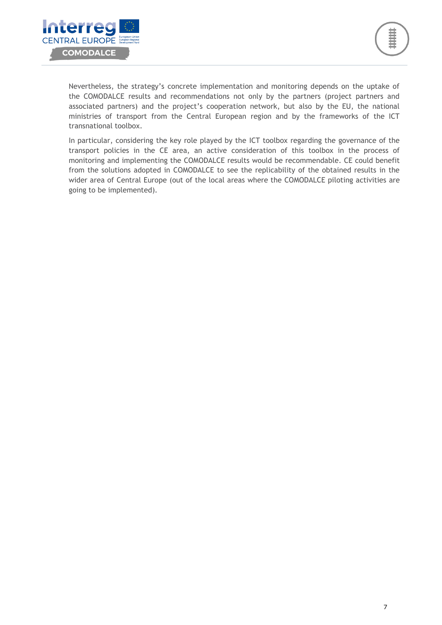

Nevertheless, the strategy's concrete implementation and monitoring depends on the uptake of the COMODALCE results and recommendations not only by the partners (project partners and associated partners) and the project's cooperation network, but also by the EU, the national ministries of transport from the Central European region and by the frameworks of the ICT transnational toolbox.

In particular, considering the key role played by the ICT toolbox regarding the governance of the transport policies in the CE area, an active consideration of this toolbox in the process of monitoring and implementing the COMODALCE results would be recommendable. CE could benefit from the solutions adopted in COMODALCE to see the replicability of the obtained results in the wider area of Central Europe (out of the local areas where the COMODALCE piloting activities are going to be implemented).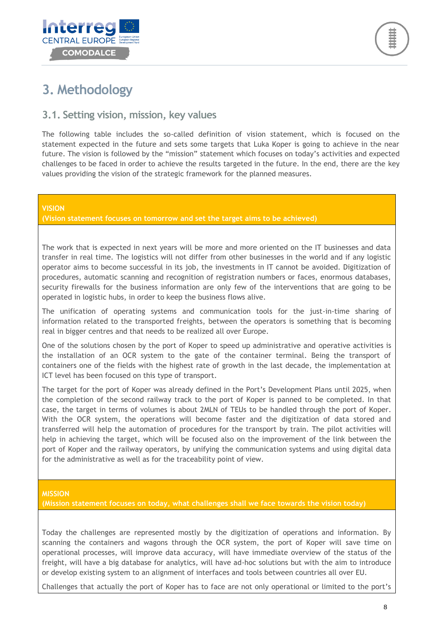



# <span id="page-7-0"></span>**3. Methodology**

### <span id="page-7-1"></span>**3.1. Setting vision, mission, key values**

The following table includes the so-called definition of vision statement, which is focused on the statement expected in the future and sets some targets that Luka Koper is going to achieve in the near future. The vision is followed by the "mission" statement which focuses on today's activities and expected challenges to be faced in order to achieve the results targeted in the future. In the end, there are the key values providing the vision of the strategic framework for the planned measures.

#### **VISION**

**(Vision statement focuses on tomorrow and set the target aims to be achieved)**

The work that is expected in next years will be more and more oriented on the IT businesses and data transfer in real time. The logistics will not differ from other businesses in the world and if any logistic operator aims to become successful in its job, the investments in IT cannot be avoided. Digitization of procedures, automatic scanning and recognition of registration numbers or faces, enormous databases, security firewalls for the business information are only few of the interventions that are going to be operated in logistic hubs, in order to keep the business flows alive.

The unification of operating systems and communication tools for the just-in-time sharing of information related to the transported freights, between the operators is something that is becoming real in bigger centres and that needs to be realized all over Europe.

One of the solutions chosen by the port of Koper to speed up administrative and operative activities is the installation of an OCR system to the gate of the container terminal. Being the transport of containers one of the fields with the highest rate of growth in the last decade, the implementation at ICT level has been focused on this type of transport.

The target for the port of Koper was already defined in the Port's Development Plans until 2025, when the completion of the second railway track to the port of Koper is panned to be completed. In that case, the target in terms of volumes is about 2MLN of TEUs to be handled through the port of Koper. With the OCR system, the operations will become faster and the digitization of data stored and transferred will help the automation of procedures for the transport by train. The pilot activities will help in achieving the target, which will be focused also on the improvement of the link between the port of Koper and the railway operators, by unifying the communication systems and using digital data for the administrative as well as for the traceability point of view.

#### **MISSION**

**(Mission statement focuses on today, what challenges shall we face towards the vision today)**

Today the challenges are represented mostly by the digitization of operations and information. By scanning the containers and wagons through the OCR system, the port of Koper will save time on operational processes, will improve data accuracy, will have immediate overview of the status of the freight, will have a big database for analytics, will have ad-hoc solutions but with the aim to introduce or develop existing system to an alignment of interfaces and tools between countries all over EU.

Challenges that actually the port of Koper has to face are not only operational or limited to the port's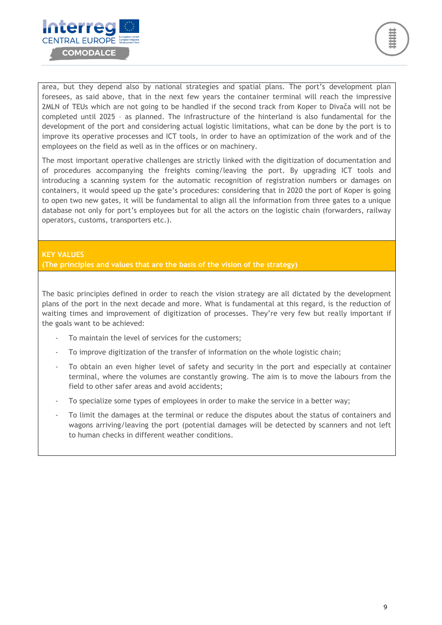



area, but they depend also by national strategies and spatial plans. The port's development plan foresees, as said above, that in the next few years the container terminal will reach the impressive 2MLN of TEUs which are not going to be handled if the second track from Koper to Divača will not be completed until 2025 – as planned. The infrastructure of the hinterland is also fundamental for the development of the port and considering actual logistic limitations, what can be done by the port is to improve its operative processes and ICT tools, in order to have an optimization of the work and of the employees on the field as well as in the offices or on machinery.

The most important operative challenges are strictly linked with the digitization of documentation and of procedures accompanying the freights coming/leaving the port. By upgrading ICT tools and introducing a scanning system for the automatic recognition of registration numbers or damages on containers, it would speed up the gate's procedures: considering that in 2020 the port of Koper is going to open two new gates, it will be fundamental to align all the information from three gates to a unique database not only for port's employees but for all the actors on the logistic chain (forwarders, railway operators, customs, transporters etc.).

### **KEY VALUES**

**(The principles and values that are the basis of the vision of the strategy)**

The basic principles defined in order to reach the vision strategy are all dictated by the development plans of the port in the next decade and more. What is fundamental at this regard, is the reduction of waiting times and improvement of digitization of processes. They're very few but really important if the goals want to be achieved:

- To maintain the level of services for the customers;
- To improve digitization of the transfer of information on the whole logistic chain;
- To obtain an even higher level of safety and security in the port and especially at container terminal, where the volumes are constantly growing. The aim is to move the labours from the field to other safer areas and avoid accidents;
- To specialize some types of employees in order to make the service in a better way;
- To limit the damages at the terminal or reduce the disputes about the status of containers and wagons arriving/leaving the port (potential damages will be detected by scanners and not left to human checks in different weather conditions.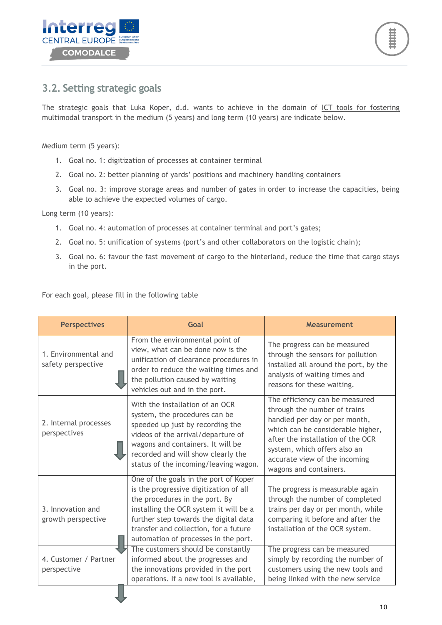

### <span id="page-9-0"></span>**3.2. Setting strategic goals**

The strategic goals that Luka Koper, d.d. wants to achieve in the domain of ICT tools for fostering multimodal transport in the medium (5 years) and long term (10 years) are indicate below.

Medium term (5 years):

- 1. Goal no. 1: digitization of processes at container terminal
- 2. Goal no. 2: better planning of yards' positions and machinery handling containers
- 3. Goal no. 3: improve storage areas and number of gates in order to increase the capacities, being able to achieve the expected volumes of cargo.

Long term (10 years):

- 1. Goal no. 4: automation of processes at container terminal and port's gates;
- 2. Goal no. 5: unification of systems (port's and other collaborators on the logistic chain);
- 3. Goal no. 6: favour the fast movement of cargo to the hinterland, reduce the time that cargo stays in the port.

For each goal, please fill in the following table

| <b>Perspectives</b>                        | Goal                                                                                                                                                                                                                                                                                  | <b>Measurement</b>                                                                                                                                                                                                                                                   |
|--------------------------------------------|---------------------------------------------------------------------------------------------------------------------------------------------------------------------------------------------------------------------------------------------------------------------------------------|----------------------------------------------------------------------------------------------------------------------------------------------------------------------------------------------------------------------------------------------------------------------|
| 1. Environmental and<br>safety perspective | From the environmental point of<br>view, what can be done now is the<br>unification of clearance procedures in<br>order to reduce the waiting times and<br>the pollution caused by waiting<br>vehicles out and in the port.                                                           | The progress can be measured<br>through the sensors for pollution<br>installed all around the port, by the<br>analysis of waiting times and<br>reasons for these waiting.                                                                                            |
| 2. Internal processes<br>perspectives      | With the installation of an OCR<br>system, the procedures can be<br>speeded up just by recording the<br>videos of the arrival/departure of<br>wagons and containers. It will be<br>recorded and will show clearly the<br>status of the incoming/leaving wagon.                        | The efficiency can be measured<br>through the number of trains<br>handled per day or per month,<br>which can be considerable higher,<br>after the installation of the OCR<br>system, which offers also an<br>accurate view of the incoming<br>wagons and containers. |
| 3. Innovation and<br>growth perspective    | One of the goals in the port of Koper<br>is the progressive digitization of all<br>the procedures in the port. By<br>installing the OCR system it will be a<br>further step towards the digital data<br>transfer and collection, for a future<br>automation of processes in the port. | The progress is measurable again<br>through the number of completed<br>trains per day or per month, while<br>comparing it before and after the<br>installation of the OCR system.                                                                                    |
| 4. Customer / Partner<br>perspective       | The customers should be constantly<br>informed about the progresses and<br>the innovations provided in the port<br>operations. If a new tool is available,                                                                                                                            | The progress can be measured<br>simply by recording the number of<br>customers using the new tools and<br>being linked with the new service                                                                                                                          |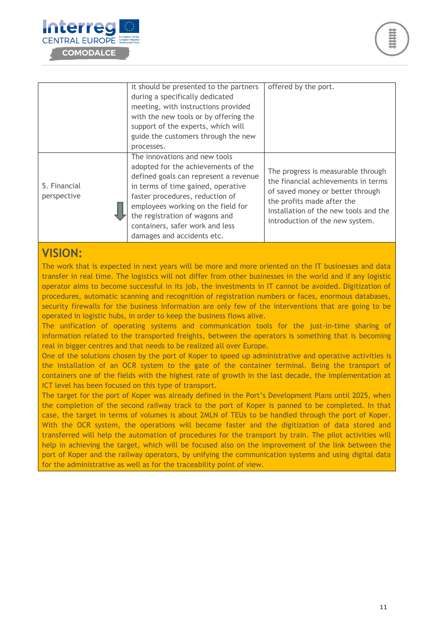



|                             | it should be presented to the partners<br>during a specifically dedicated<br>meeting, with instructions provided<br>with the new tools or by offering the<br>support of the experts, which will<br>guide the customers through the new<br>processes.                                                                            | offered by the port.                                                                                                                                                                                                    |
|-----------------------------|---------------------------------------------------------------------------------------------------------------------------------------------------------------------------------------------------------------------------------------------------------------------------------------------------------------------------------|-------------------------------------------------------------------------------------------------------------------------------------------------------------------------------------------------------------------------|
| 5. Financial<br>perspective | The innovations and new tools<br>adopted for the achievements of the<br>defined goals can represent a revenue<br>in terms of time gained, operative<br>faster procedures, reduction of<br>employees working on the field for<br>the registration of wagons and<br>containers, safer work and less<br>damages and accidents etc. | The progress is measurable through<br>the financial achievements in terms<br>of saved money or better through<br>the profits made after the<br>installation of the new tools and the<br>introduction of the new system. |

### **VISION:**

The work that is expected in next years will be more and more oriented on the IT businesses and data transfer in real time. The logistics will not differ from other businesses in the world and if any logistic operator aims to become successful in its job, the investments in IT cannot be avoided. Digitization of procedures, automatic scanning and recognition of registration numbers or faces, enormous databases, security firewalls for the business information are only few of the interventions that are going to be operated in logistic hubs, in order to keep the business flows alive.

The unification of operating systems and communication tools for the just-in-time sharing of information related to the transported freights, between the operators is something that is becoming real in bigger centres and that needs to be realized all over Europe.

One of the solutions chosen by the port of Koper to speed up administrative and operative activities is the installation of an OCR system to the gate of the container terminal. Being the transport of containers one of the fields with the highest rate of growth in the last decade, the implementation at ICT level has been focused on this type of transport.

The target for the port of Koper was already defined in the Port's Development Plans until 2025, when the completion of the second railway track to the port of Koper is panned to be completed. In that case, the target in terms of volumes is about 2MLN of TEUs to be handled through the port of Koper. With the OCR system, the operations will become faster and the digitization of data stored and transferred will help the automation of procedures for the transport by train. The pilot activities will help in achieving the target, which will be focused also on the improvement of the link between the port of Koper and the railway operators, by unifying the communication systems and using digital data for the administrative as well as for the traceability point of view.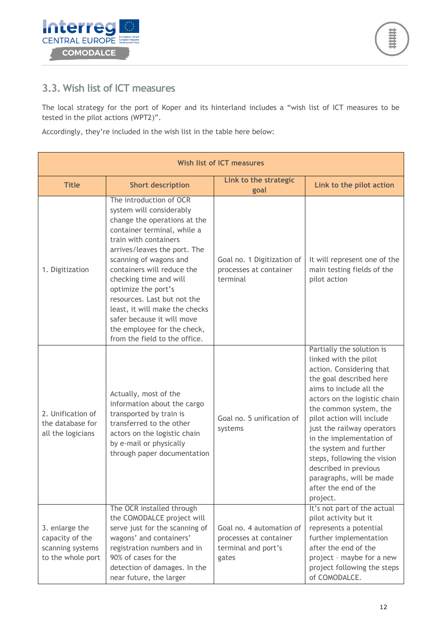## <span id="page-11-0"></span>**3.3. Wish list of ICT measures**

The local strategy for the port of Koper and its hinterland includes a "wish list of ICT measures to be tested in the pilot actions (WPT2)".

Accordingly, they're included in the wish list in the table here below:

|                                                                            |                                                                                                                                                                                                                                                                                                                                                                                                                                                     | <b>Wish list of ICT measures</b>                                                   |                                                                                                                                                                                                                                                                                                                                                                                                                                         |
|----------------------------------------------------------------------------|-----------------------------------------------------------------------------------------------------------------------------------------------------------------------------------------------------------------------------------------------------------------------------------------------------------------------------------------------------------------------------------------------------------------------------------------------------|------------------------------------------------------------------------------------|-----------------------------------------------------------------------------------------------------------------------------------------------------------------------------------------------------------------------------------------------------------------------------------------------------------------------------------------------------------------------------------------------------------------------------------------|
| <b>Title</b>                                                               | <b>Short description</b>                                                                                                                                                                                                                                                                                                                                                                                                                            | Link to the strategic<br>goal                                                      | Link to the pilot action                                                                                                                                                                                                                                                                                                                                                                                                                |
| 1. Digitization                                                            | The introduction of OCR<br>system will considerably<br>change the operations at the<br>container terminal, while a<br>train with containers<br>arrives/leaves the port. The<br>scanning of wagons and<br>containers will reduce the<br>checking time and will<br>optimize the port's<br>resources. Last but not the<br>least, it will make the checks<br>safer because it will move<br>the employee for the check,<br>from the field to the office. | Goal no. 1 Digitization of<br>processes at container<br>terminal                   | It will represent one of the<br>main testing fields of the<br>pilot action                                                                                                                                                                                                                                                                                                                                                              |
| 2. Unification of<br>the database for<br>all the logicians                 | Actually, most of the<br>information about the cargo<br>transported by train is<br>transferred to the other<br>actors on the logistic chain<br>by e-mail or physically<br>through paper documentation                                                                                                                                                                                                                                               | Goal no. 5 unification of<br>systems                                               | Partially the solution is<br>linked with the pilot<br>action. Considering that<br>the goal described here<br>aims to include all the<br>actors on the logistic chain<br>the common system, the<br>pilot action will include<br>just the railway operators<br>in the implementation of<br>the system and further<br>steps, following the vision<br>described in previous<br>paragraphs, will be made<br>after the end of the<br>project. |
| 3. enlarge the<br>capacity of the<br>scanning systems<br>to the whole port | The OCR installed through<br>the COMODALCE project will<br>serve just for the scanning of<br>wagons' and containers'<br>registration numbers and in<br>90% of cases for the<br>detection of damages. In the<br>near future, the larger                                                                                                                                                                                                              | Goal no. 4 automation of<br>processes at container<br>terminal and port's<br>gates | It's not part of the actual<br>pilot activity but it<br>represents a potential<br>further implementation<br>after the end of the<br>project - maybe for a new<br>project following the steps<br>of COMODALCE.                                                                                                                                                                                                                           |